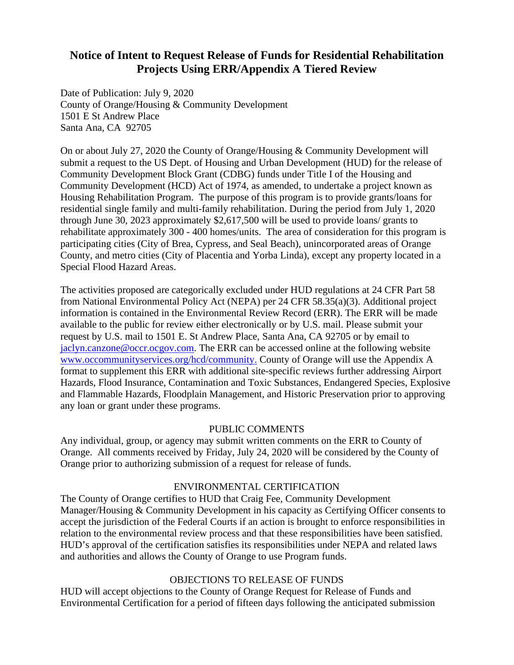# **Notice of Intent to Request Release of Funds for Residential Rehabilitation Projects Using ERR/Appendix A Tiered Review**

Date of Publication: July 9, 2020 County of Orange/Housing & Community Development 1501 E St Andrew Place Santa Ana, CA 92705

On or about July 27, 2020 the County of Orange/Housing & Community Development will submit a request to the US Dept. of Housing and Urban Development (HUD) for the release of Community Development Block Grant (CDBG) funds under Title I of the Housing and Community Development (HCD) Act of 1974, as amended, to undertake a project known as Housing Rehabilitation Program. The purpose of this program is to provide grants/loans for residential single family and multi-family rehabilitation. During the period from July 1, 2020 through June 30, 2023 approximately \$2,617,500 will be used to provide loans/ grants to rehabilitate approximately 300 - 400 homes/units. The area of consideration for this program is participating cities (City of Brea, Cypress, and Seal Beach), unincorporated areas of Orange County, and metro cities (City of Placentia and Yorba Linda), except any property located in a Special Flood Hazard Areas.

The activities proposed are categorically excluded under HUD regulations at 24 CFR Part 58 from National Environmental Policy Act (NEPA) per 24 CFR 58.35(a)(3). Additional project information is contained in the Environmental Review Record (ERR). The ERR will be made available to the public for review either electronically or by U.S. mail. Please submit your request by U.S. mail to 1501 E. St Andrew Place, Santa Ana, CA 92705 or by email to [jaclyn.canzone@occr.ocgov.com.](mailto:jaclyn.canzone@occr.ocgov.com) The ERR can be accessed online at the following website [www.occommunityservices.org/hcd/](http://www.occommunityservices.org/hcd)community. County of Orange will use the Appendix A format to supplement this ERR with additional site-specific reviews further addressing Airport Hazards, Flood Insurance, Contamination and Toxic Substances, Endangered Species, Explosive and Flammable Hazards, Floodplain Management, and Historic Preservation prior to approving any loan or grant under these programs.

## PUBLIC COMMENTS

Any individual, group, or agency may submit written comments on the ERR to County of Orange. All comments received by Friday, July 24, 2020 will be considered by the County of Orange prior to authorizing submission of a request for release of funds.

### ENVIRONMENTAL CERTIFICATION

The County of Orange certifies to HUD that Craig Fee, Community Development Manager/Housing & Community Development in his capacity as Certifying Officer consents to accept the jurisdiction of the Federal Courts if an action is brought to enforce responsibilities in relation to the environmental review process and that these responsibilities have been satisfied. HUD's approval of the certification satisfies its responsibilities under NEPA and related laws and authorities and allows the County of Orange to use Program funds.

#### OBJECTIONS TO RELEASE OF FUNDS

HUD will accept objections to the County of Orange Request for Release of Funds and Environmental Certification for a period of fifteen days following the anticipated submission